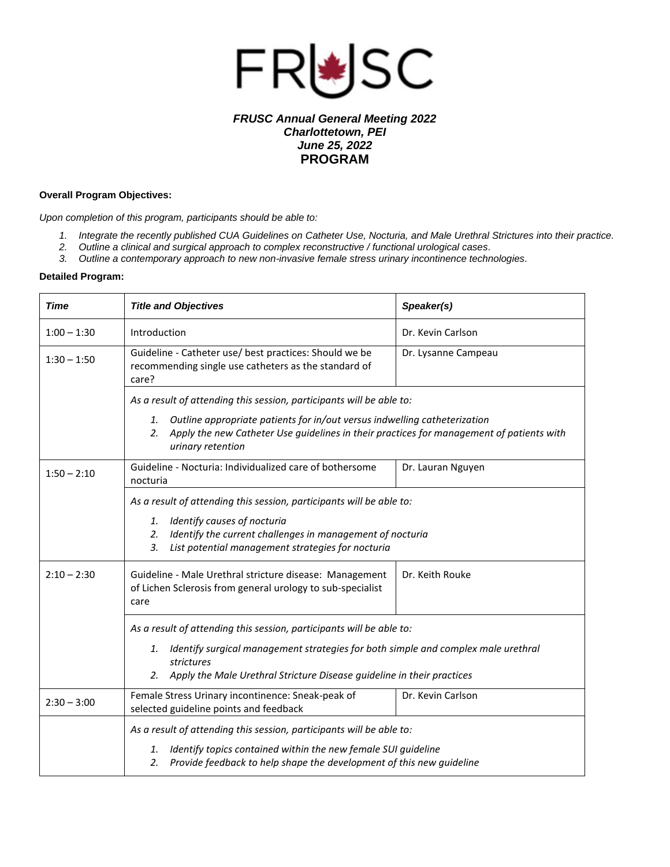

## *FRUSC Annual General Meeting 2022 Charlottetown, PEI June 25, 2022* **PROGRAM**

## **Overall Program Objectives:**

*Upon completion of this program, participants should be able to:*

- *1. Integrate the recently published CUA Guidelines on Catheter Use, Nocturia, and Male Urethral Strictures into their practice.*
- *2. Outline a clinical and surgical approach to complex reconstructive / functional urological cases.*
- *3. Outline a contemporary approach to new non-invasive female stress urinary incontinence technologies.*

## **Detailed Program:**

| <b>Time</b>   | <b>Title and Objectives</b>                                                                                                                                                                                                          | Speaker(s)          |  |
|---------------|--------------------------------------------------------------------------------------------------------------------------------------------------------------------------------------------------------------------------------------|---------------------|--|
| $1:00 - 1:30$ | Introduction                                                                                                                                                                                                                         | Dr. Kevin Carlson   |  |
| $1:30 - 1:50$ | Guideline - Catheter use/ best practices: Should we be<br>recommending single use catheters as the standard of<br>care?                                                                                                              | Dr. Lysanne Campeau |  |
|               | As a result of attending this session, participants will be able to:                                                                                                                                                                 |                     |  |
|               | Outline appropriate patients for in/out versus indwelling catheterization<br>1.<br>Apply the new Catheter Use guidelines in their practices for management of patients with<br>2.<br>urinary retention                               |                     |  |
| $1:50 - 2:10$ | Guideline - Nocturia: Individualized care of bothersome<br>nocturia                                                                                                                                                                  | Dr. Lauran Nguyen   |  |
|               | As a result of attending this session, participants will be able to:<br>1. Identify causes of nocturia<br>Identify the current challenges in management of nocturia<br>2.<br>3.<br>List potential management strategies for nocturia |                     |  |
| $2:10 - 2:30$ | Guideline - Male Urethral stricture disease: Management<br>of Lichen Sclerosis from general urology to sub-specialist<br>care                                                                                                        | Dr. Keith Rouke     |  |
|               | As a result of attending this session, participants will be able to:                                                                                                                                                                 |                     |  |
|               | Identify surgical management strategies for both simple and complex male urethral<br>1.<br>strictures<br>Apply the Male Urethral Stricture Disease guideline in their practices<br>2.                                                |                     |  |
| $2:30 - 3:00$ | Female Stress Urinary incontinence: Sneak-peak of<br>selected guideline points and feedback                                                                                                                                          | Dr. Kevin Carlson   |  |
|               | As a result of attending this session, participants will be able to:<br>Identify topics contained within the new female SUI guideline<br>1.<br>Provide feedback to help shape the development of this new guideline<br>2.            |                     |  |